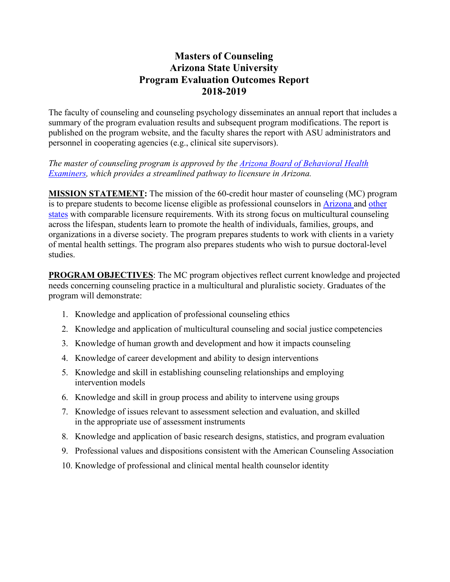## **Masters of Counseling Arizona State University Program Evaluation Outcomes Report 2018-2019**

The faculty of counseling and counseling psychology disseminates an annual report that includes a summary of the program evaluation results and subsequent program modifications. The report is published on the program website, and the faculty shares the report with ASU administrators and personnel in cooperating agencies (e.g., clinical site supervisors).

*The master of counseling program is approved by the [Arizona Board of Behavioral Health](https://www.azbbhe.us/pdfs/ARC/ASU%20Master%20of%20Counseling.pdf) [Examiners,](https://www.azbbhe.us/pdfs/ARC/ASU%20Master%20of%20Counseling.pdf) which provides a streamlined pathway to licensure in Arizona.*

**MISSION STATEMENT:** The mission of the 60-credit hour master of counseling (MC) program is to prepare students to become license eligible as professional counselors in [Arizona a](https://www.azbbhe.us/node/556)nd [other](https://www.counseling.org/knowledge-center/licensure-requirements/state-professional-counselor-licensure-boards) [states](https://www.counseling.org/knowledge-center/licensure-requirements/state-professional-counselor-licensure-boards) with comparable licensure requirements. With its strong focus on multicultural counseling across the lifespan, students learn to promote the health of individuals, families, groups, and organizations in a diverse society. The program prepares students to work with clients in a variety of mental health settings. The program also prepares students who wish to pursue doctoral-level studies.

**PROGRAM OBJECTIVES**: The MC program objectives reflect current knowledge and projected needs concerning counseling practice in a multicultural and pluralistic society. Graduates of the program will demonstrate:

- 1. Knowledge and application of professional counseling ethics
- 2. Knowledge and application of multicultural counseling and social justice competencies
- 3. Knowledge of human growth and development and how it impacts counseling
- 4. Knowledge of career development and ability to design interventions
- 5. Knowledge and skill in establishing counseling relationships and employing intervention models
- 6. Knowledge and skill in group process and ability to intervene using groups
- 7. Knowledge of issues relevant to assessment selection and evaluation, and skilled in the appropriate use of assessment instruments
- 8. Knowledge and application of basic research designs, statistics, and program evaluation
- 9. Professional values and dispositions consistent with the American Counseling Association
- 10. Knowledge of professional and clinical mental health counselor identity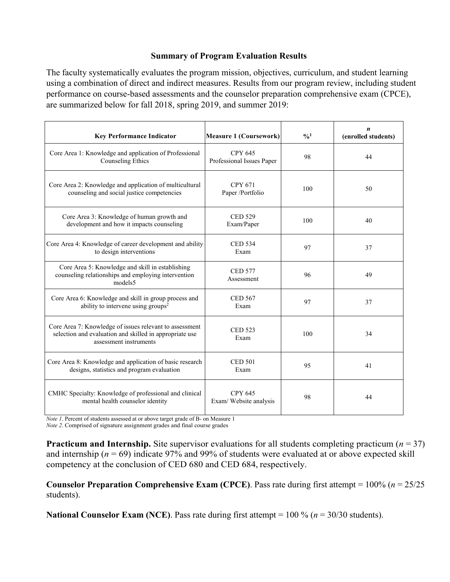## **Summary of Program Evaluation Results**

The faculty systematically evaluates the program mission, objectives, curriculum, and student learning using a combination of direct and indirect measures. Results from our program review, including student performance on course-based assessments and the counselor preparation comprehensive exam (CPCE), are summarized below for fall 2018, spring 2019, and summer 2019:

| <b>Key Performance Indicator</b>                                                                                                             | <b>Measure 1 (Coursework)</b>               | $\frac{0}{0}$ <sup>1</sup> | n<br>(enrolled students) |
|----------------------------------------------------------------------------------------------------------------------------------------------|---------------------------------------------|----------------------------|--------------------------|
| Core Area 1: Knowledge and application of Professional<br>Counseling Ethics                                                                  | <b>CPY 645</b><br>Professional Issues Paper | 98                         | 44                       |
| Core Area 2: Knowledge and application of multicultural<br>counseling and social justice competencies                                        | <b>CPY 671</b><br>Paper /Portfolio          | 100                        | 50                       |
| Core Area 3: Knowledge of human growth and<br>development and how it impacts counseling                                                      | <b>CED 529</b><br>Exam/Paper                | 100                        | 40                       |
| Core Area 4: Knowledge of career development and ability<br>to design interventions                                                          | <b>CED 534</b><br>Exam                      | 97                         | 37                       |
| Core Area 5: Knowledge and skill in establishing<br>counseling relationships and employing intervention<br>models <sub>5</sub>               | <b>CED 577</b><br>Assessment                | 96                         | 49                       |
| Core Area 6: Knowledge and skill in group process and<br>ability to intervene using groups <sup>2</sup>                                      | <b>CED 567</b><br>Exam                      | 97                         | 37                       |
| Core Area 7: Knowledge of issues relevant to assessment<br>selection and evaluation and skilled in appropriate use<br>assessment instruments | <b>CED 523</b><br>Exam                      | 100                        | 34                       |
| Core Area 8: Knowledge and application of basic research<br>designs, statistics and program evaluation                                       | <b>CED 501</b><br>Exam                      | 95                         | 41                       |
| CMHC Specialty: Knowledge of professional and clinical<br>mental health counselor identity                                                   | <b>CPY 645</b><br>Exam/Website analysis     | 98                         | 44                       |

*Note 1*. Percent of students assessed at or above target grade of B- on Measure 1

*Note 2*. Comprised of signature assignment grades and final course grades

**Practicum and Internship.** Site supervisor evaluations for all students completing practicum ( $n = 37$ ) and internship (*n* = 69) indicate 97% and 99% of students were evaluated at or above expected skill competency at the conclusion of CED 680 and CED 684, respectively.

**Counselor Preparation Comprehensive Exam (CPCE)**. Pass rate during first attempt = 100% (*n* = 25/25 students).

**National Counselor Exam (NCE)**. Pass rate during first attempt = 100 % (*n* = 30/30 students).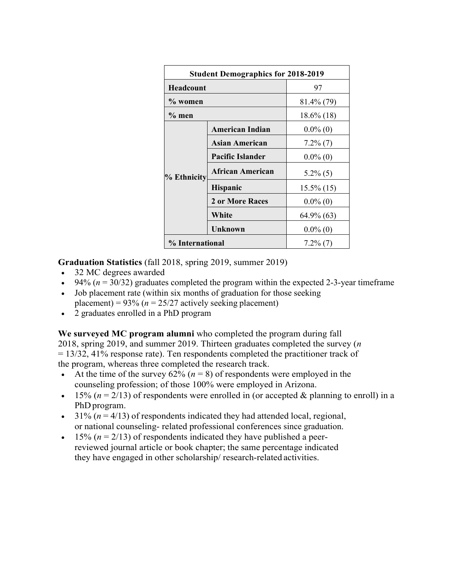| <b>Student Demographics for 2018-2019</b> |                         |               |  |  |
|-------------------------------------------|-------------------------|---------------|--|--|
| Headcount                                 |                         | 97            |  |  |
| $\%$ women                                |                         | 81.4% (79)    |  |  |
| $\%$ men                                  |                         | $18.6\%$ (18) |  |  |
|                                           | <b>American Indian</b>  | $0.0\%$ (0)   |  |  |
|                                           | Asian American          | $7.2\%$ (7)   |  |  |
|                                           | <b>Pacific Islander</b> | $0.0\%$ (0)   |  |  |
| % Ethnicity                               | African American        | $5.2\%$ (5)   |  |  |
|                                           | <b>Hispanic</b>         | $15.5\%$ (15) |  |  |
|                                           | 2 or More Races         | $0.0\%$ (0)   |  |  |
|                                           | White                   | 64.9% (63)    |  |  |
|                                           | Unknown                 | $0.0\%$ (0)   |  |  |
| % International                           |                         | $7.2\%$ (7)   |  |  |

**Graduation Statistics** (fall 2018, spring 2019, summer 2019)

- 32 MC degrees awarded
- $\bullet$  94% ( $n = 30/32$ ) graduates completed the program within the expected 2-3-year timeframe
- Job placement rate (within six months of graduation for those seeking placement) =  $93\%$  ( $n = 25/27$  actively seeking placement)
- 2 graduates enrolled in a PhD program

**We surveyed MC program alumni** who completed the program during fall 2018, spring 2019, and summer 2019. Thirteen graduates completed the survey (*n*  = 13/32, 41% response rate). Ten respondents completed the practitioner track of the program, whereas three completed the research track.

- At the time of the survey  $62\%$  ( $n = 8$ ) of respondents were employed in the counseling profession; of those 100% were employed in Arizona.
- $\bullet$  15% ( $n = 2/13$ ) of respondents were enrolled in (or accepted & planning to enroll) in a PhD program.
- $\bullet$  31% ( $n = 4/13$ ) of respondents indicated they had attended local, regional, or national counseling- related professional conferences since graduation.
- $\bullet$  15% ( $n = 2/13$ ) of respondents indicated they have published a peerreviewed journal article or book chapter; the same percentage indicated they have engaged in other scholarship/ research-related activities.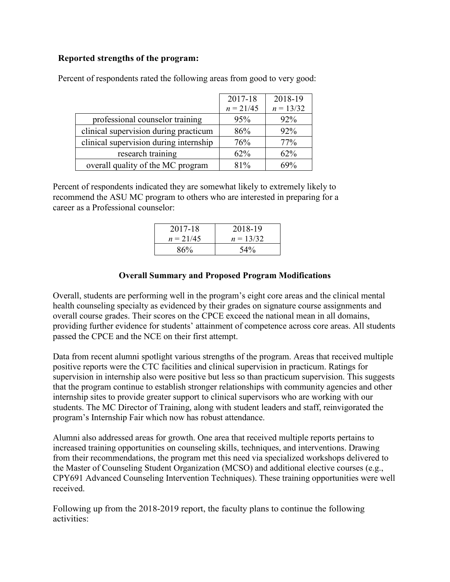## **Reported strengths of the program:**

|                                        | 2017-18<br>$n = 21/45$ | 2018-19<br>$n = 13/32$ |
|----------------------------------------|------------------------|------------------------|
| professional counselor training        | 95%                    | 92%                    |
| clinical supervision during practicum  | 86%                    | 92%                    |
| clinical supervision during internship | 76%                    | 77%                    |
| research training                      | 62%                    | 62%                    |
| overall quality of the MC program      | 81%                    | 69%                    |

Percent of respondents rated the following areas from good to very good:

Percent of respondents indicated they are somewhat likely to extremely likely to recommend the ASU MC program to others who are interested in preparing for a career as a Professional counselor:

| 2017-18     | 2018-19     |
|-------------|-------------|
| $n = 21/45$ | $n = 13/32$ |
| 86%         | 54%         |

## **Overall Summary and Proposed Program Modifications**

Overall, students are performing well in the program's eight core areas and the clinical mental health counseling specialty as evidenced by their grades on signature course assignments and overall course grades. Their scores on the CPCE exceed the national mean in all domains, providing further evidence for students' attainment of competence across core areas. All students passed the CPCE and the NCE on their first attempt.

Data from recent alumni spotlight various strengths of the program. Areas that received multiple positive reports were the CTC facilities and clinical supervision in practicum. Ratings for supervision in internship also were positive but less so than practicum supervision. This suggests that the program continue to establish stronger relationships with community agencies and other internship sites to provide greater support to clinical supervisors who are working with our students. The MC Director of Training, along with student leaders and staff, reinvigorated the program's Internship Fair which now has robust attendance.

Alumni also addressed areas for growth. One area that received multiple reports pertains to increased training opportunities on counseling skills, techniques, and interventions. Drawing from their recommendations, the program met this need via specialized workshops delivered to the Master of Counseling Student Organization (MCSO) and additional elective courses (e.g., CPY691 Advanced Counseling Intervention Techniques). These training opportunities were well received.

Following up from the 2018-2019 report, the faculty plans to continue the following activities: